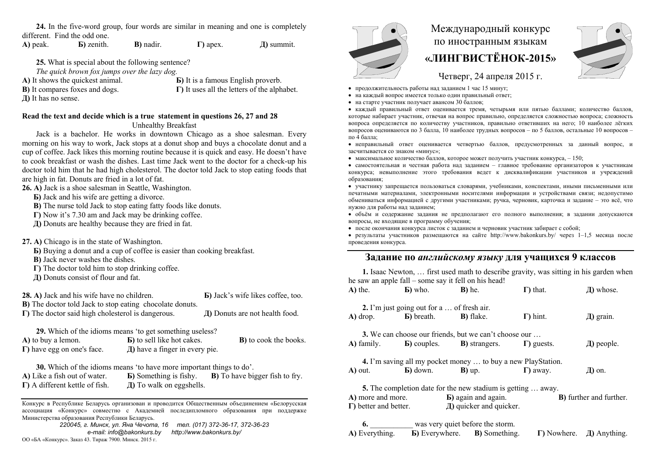**24.** In the five-word group, four words are similar in meaning and one is completely different. Find the odd one.

**А)** peak. **Б)** zenith. **В)** nadir. **Г)** apex. **Д)** summit.

**25.** What is special about the following sentence?

*The quick brown fox jumps over the lazy dog.* 

**А)** It shows the quickest animal.

**B**) It compares foxes and dogs. **Д)** It has no sense.

**Theref If** It is a famous English proverb. **Г)** It uses all the letters of the alphabet.

## **Read the text and decide which is a true statement in questions 26, 27 and 28**

Unhealthy Breakfast

Jack is a bachelor. He works in downtown Chicago as a shoe salesman. Every morning on his way to work, Jack stops at a donut shop and buys a chocolate donut and a cup of coffee. Jack likes this morning routine because it is quick and easy. He doesn't have to cook breakfast or wash the dishes. Last time Jack went to the doctor for a check-up his doctor told him that he had high cholesterol. The doctor told Jack to stop eating foods that are high in fat. Donuts are fried in a lot of fat.

**26. A)** Jack is a shoe salesman in Seattle, Washington.

**Б)** Jack and his wife are getting a divorce.

**B)** The nurse told Jack to stop eating fatty foods like donuts.

**Г)** Now it's 7.30 am and Jack may be drinking coffee.

**Д)** Donuts are healthy because they are fried in fat.

## **27. A)** Chicago is in the state of Washington.

**Б)** Buying a donut and a cup of coffee is easier than cooking breakfast.

**B)** Jack never washes the dishes.

- **Г)** The doctor told him to stop drinking coffee.
- **Д)** Donuts consist of flour and fat.

| <b>28.</b> A) Jack and his wife have no children.                | <b>b</b> ) Jack's wife likes coffee, too. |
|------------------------------------------------------------------|-------------------------------------------|
| <b>B</b> ) The doctor told Jack to stop eating chocolate donuts. |                                           |
| T) The doctor said high cholesterol is dangerous.                | Д) Donuts are not health food.            |

**29.** Which of the idioms means 'to get something useless?

| A) to buy a lemon.                 | <b>b</b> ) to sell like hot cakes. | <b>B</b> ) to cook the books. |
|------------------------------------|------------------------------------|-------------------------------|
| $\Gamma$ ) have egg on one's face. | Д) have a finger in every pie.     |                               |

**30.** Which of the idioms means 'to have more important things to do'.

**A)** Like a fish out of water. **Б)** Something is fishy. **B)** To have bigger fish to fry. **Г)** A different kettle of fish. **Д)** To walk on eggshells.

Конкурс <sup>в</sup> Республике Беларусь организован <sup>и</sup> проводится Общественным объединением «Белорусская ассоциация «Конкурс» совместно <sup>с</sup> Академией последипломного образования при поддержке Министерства образования Республики Беларусь.

*220045, <sup>г</sup>. Минск, ул. Яна Чечота, 16 тел. (017) 372-36-17, 372-36-23 e-mail: info@bakonkurs.by http://www.bakonkurs.by/*  ОО «БА «Конкурс». Заказ 43. Тираж 7900. Минск. 2015 <sup>г</sup>.



## Международный конкурс по иностранным языкам **«ЛИНГВИСТЁНОК-2015»**



Четверг, 24 апреля 2015 г.

- продолжительность работы над заданием 1 час 15 минут;
- на каждый вопрос имеется только один правильный ответ;
- на старте участник получает авансом 30 баллов;

 каждый правильный ответ оценивается тремя, четырьмя или пятью баллами; количество баллов, которые набирает участник, отвечая на вопрос правильно, определяется сложностью вопроса; сложность вопроса определяется по количеству участников, правильно ответивших на него; 10 наиболее лёгких вопросов оцениваются по 3 балла, 10 наиболее трудных вопросов – по 5 баллов, остальные 10 вопросов – по 4 балла;

 неправильный ответ оценивается четвертью баллов, предусмотренных за данный вопрос, <sup>и</sup> засчитывается со знаком «минус»;

• максимальное количество баллов, которое может получить участник конкурса,  $-150$ ;

 самостоятельная и честная работа над заданием – главное требование организаторов <sup>к</sup> участникам конкурса; невыполнение этого требования ведет <sup>к</sup> дисквалификации участников <sup>и</sup> учреждений образования;

 участнику запрещается пользоваться словарями, учебниками, конспектами, иными письменными или печатными материалами, электронными носителями информации <sup>и</sup> устройствами связи; недопустимо обмениваться информацией <sup>с</sup> другими участниками; ручка, черновик, карточка <sup>и</sup> задание – это всё, что нужно для работы над заданием;

 объём <sup>и</sup> содержание задания не предполагают его полного выполнения; <sup>в</sup> задании допускаются вопросы, не входящие <sup>в</sup> программу обучения;

после окончания конкурса листок <sup>с</sup> заданием <sup>и</sup> черновик участник забирает <sup>с</sup> собой;

 результаты участников размещаются на сайте http://www.bakonkurs.by/ через 1–1,5 месяца после проведения конкурса.

## **Задание по** *английскому языку* **для учащихся 9 классов**

**1.** Isaac Newton, … first used math to describe gravity, was sitting in his garden when he saw an apple fall – some say it fell on his head! **А)** the. **Б)** who. **В)** he. **Г)** that. **Д)** whose. **2.** I'm just going out for a … of fresh air. **А)** drop. **Б)** breath. **В)** flake. **Г)** hint. **Д)** grain. **3.** We can choose our friends, but we can't choose our … **А)** family. **Б)** couples. **В)** strangers. **Г)** guests. **Д)** people. **4.** I'm saving all my pocket money … to buy a new PlayStation. **А)** out. **Б)** down. **В)** up. **Г)** away. **Д)** on. **5.** The completion date for the new stadium is getting … away. **А)** more and more. **Б)** again and again. **В)** further and further. **Г)** better and better. **Д)** quicker and quicker. **6.** was very quiet before the storm. **А)** Everything. **Б)** Everywhere. **В)** Something. **Г)** Nowhere. **Д)** Anything.